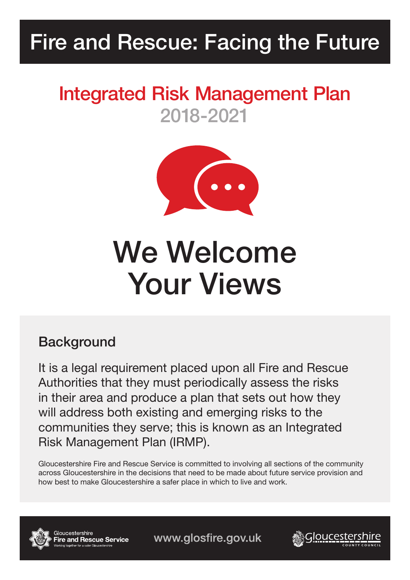# Fire and Rescue: Facing the Future

# Integrated Risk Management Plan 2018-2021



# We Welcome Your Views

# **Background**

It is a legal requirement placed upon all Fire and Rescue Authorities that they must periodically assess the risks in their area and produce a plan that sets out how they will address both existing and emerging risks to the communities they serve; this is known as an Integrated Risk Management Plan (IRMP).

Gloucestershire Fire and Rescue Service is committed to involving all sections of the community across Gloucestershire in the decisions that need to be made about future service provision and how best to make Gloucestershire a safer place in which to live and work.



Gloucestershire **Fire and Rescue Service** 

www.glosfire.gov.uk

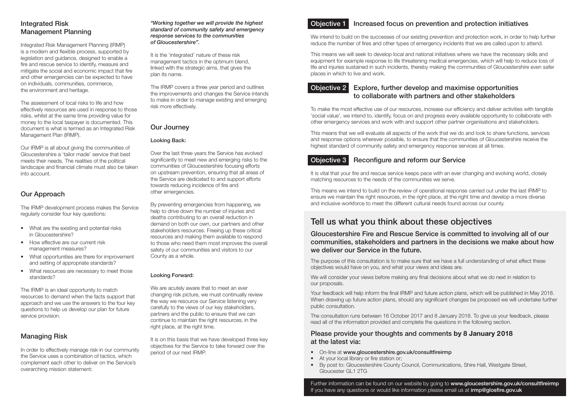## Integrated Risk Management Planning

Integrated Risk Management Planning (IRMP) is a modern and flexible process, supported by legislation and guidance, designed to enable a fire and rescue service to identify, measure and mitigate the social and economic impact that fire and other emergencies can be expected to have on individuals, communities, commerce, the environment and heritage.

The assessment of local risks to life and how effectively resources are used in response to those risks, whilst at the same time providing value for money to the local taxpayer is documented. This document is what is termed as an Integrated Risk Management Plan (IRMP).

- What are the existing and potential risks in Gloucestershire?
- How effective are our current risk management measures?
- What opportunities are there for improvement and setting of appropriate standards?
- What resources are necessary to meet those standards?

Our IRMP is all about giving the communities of Gloucestershire a 'tailor made' service that best meets their needs. The realities of the political landscape and financial climate must also be taken into account.

In order to effectively manage risk in our community the Service uses a combination of tactics, which complement each other to deliver on the Service's overarching mission statement:

## Our Approach

The IRMP development process makes the Service regularly consider four key questions:

The IRMP is an ideal opportunity to match resources to demand when the facts support that approach and we use the answers to the four key questions to help us develop our plan for future service provision.

## Managing Risk

It is on this basis that we have developed three key objectives for the Service to take forward over the period of our next IRMP.

#### *"Working together we will provide the highest standard of community safety and emergency response services to the communities of Gloucestershire".*

We intend to build on the successes of our existing prevention and protection work, in order to help further reduce the number of fires and other types of emergency incidents that we are called upon to attend.

It is the 'integrated' nature of these risk management tactics in the optimum blend, linked with the strategic aims, that gives the plan its name.

The IRMP covers a three year period and outlines the improvements and changes the Service intends to make in order to manage existing and emerging risk more effectively.

## Our Journey

### Looking Back:

Over the last three years the Service has evolved significantly to meet new and emerging risks to the communities of Gloucestershire focusing efforts on upstream prevention, ensuring that all areas of the Service are dedicated to and support efforts towards reducing incidence of fire and other emergencies.

By preventing emergencies from happening, we help to drive down the number of injuries and deaths contributing to an overall reduction in demand on both our own, our partners and other stakeholders resources. Freeing up these critical resources and making them available to respond to those who need them most improves the overall safety of our communities and visitors to our County as a whole.

> We will consider your views before making any final decisions about what we do next in relation to our proposals.

### Looking Forward:

We are acutely aware that to meet an ever changing risk picture, we must continually review the way we resource our Service listening very carefully to the views of our key stakeholders, partners and the public to ensure that we can continue to maintain the right resources, in the right place, at the right time.

## Objective 1 Increased focus on prevention and protection initiatives

This means we will seek to develop local and national initiatives where we have the necessary skills and equipment for example response to life threatening medical emergencies, which will help to reduce loss of life and injuries sustained in such incidents, thereby making the communities of Gloucestershire even safer places in which to live and work.

## Objective 2 Explore, further develop and maximise opportunities to collaborate with partners and other stakeholders

To make the most effective use of our resources, increase our efficiency and deliver activities with tangible 'social value', we intend to, identify, focus on and progress every available opportunity to collaborate with other emergency services and work with and support other partner organisations and stakeholders.

This means that we will evaluate all aspects of the work that we do and look to share functions, services and response options wherever possible, to ensure that the communities of Gloucestershire receive the highest standard of community safety and emergency response services at all times.

## **Objective 3** Reconfigure and reform our Service

It is vital that your fire and rescue service keeps pace with an ever changing and evolving world, closely matching resources to the needs of the communities we serve.

This means we intend to build on the review of operational response carried out under the last IRMP to ensure we maintain the right resources, in the right place, at the right time and develop a more diverse and inclusive workforce to meet the different cultural needs found across our county.

## Tell us what you think about these objectives

## Gloucestershire Fire and Rescue Service is committed to involving all of our communities, stakeholders and partners in the decisions we make about how we deliver our Service in the future.

The purpose of this consultation is to make sure that we have a full understanding of what effect these objectives would have on you, and what your views and ideas are.

Your feedback will help inform the final IRMP and future action plans, which will be published in May 2018. When drawing up future action plans, should any significant changes be proposed we will undertake further public consultation.

The consultation runs between 16 October 2017 and 8 January 2018. To give us your feedback, please read all of the information provided and complete the questions in the following section.

## Please provide your thoughts and comments **by 8 January 2018** at the latest via:

- On-line at www.gloucestershire.gov.uk/consultfireirmp
- At your local library or fire station or;
- By post to: Gloucestershire County Council, Communications, Shire Hall, Westgate Street, Gloucester GL1 2TG

Further information can be found on our website by going to www.gloucestershire.gov.uk/consultfireirmp If you have any questions or would like information please email us at *irmp@glosfire.gov.uk*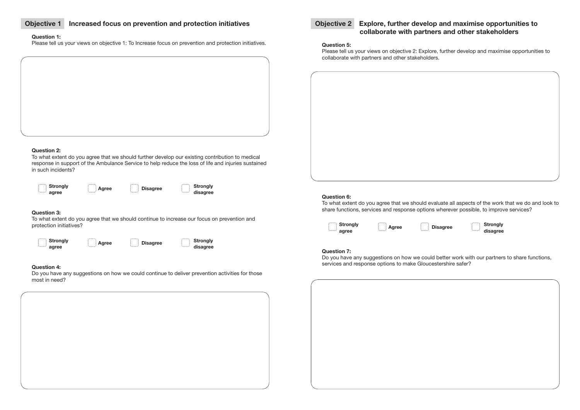## **Objective 1 Increased focus on prevention and protection initiatives**

#### **Question 1:**

Please tell us your views on objective 1: To Increase focus on prevention and protection initiatives.

#### **Question 2:**

To what extent do you agree that we should further develop our existing contribution to medical response in support of the Ambulance Service to help reduce the loss of life and injuries sustained in such incidents?

| <b>Strongly</b><br>agree<br>. | <br>: Agree<br>. | <br>: Disagree<br>. | .<br>Strongly<br>disagree<br> |
|-------------------------------|------------------|---------------------|-------------------------------|
|-------------------------------|------------------|---------------------|-------------------------------|



#### **Question 3:**

To what extent do you agree that we should continue to increase our focus on prevention and protection initiatives?





#### **Question 4:**

Do you have any suggestions on how we could continue to deliver prevention activities for those most in need?

## **Objective 2 Explore, further develop and maximise opportunities to collaborate with partners and other stakeholders**

#### **Question 5:**

Please tell us your views on objective 2: Explore, further develop and maximise opportunities to collaborate with partners and other stakeholders.

| <b>Question 6:</b> |  |
|--------------------|--|
|--------------------|--|

To what extent do you agree that we should evaluate all aspects of the work that we do and look to share functions, services and response options wherever possible, to improve services?



#### **Question 7:**

Do you have any suggestions on how we could better work with our partners to share functions, services and response options to make Gloucestershire safer?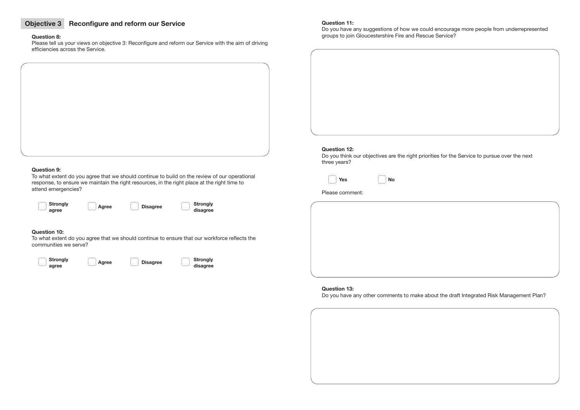## **Objective 3 Reconfigure and reform our Service**

#### **Question 8:**

Please tell us your views on objective 3: Reconfigure and reform our Service with the aim of driving efficiencies across the Service.

#### **Question 9:**

To what extent do you agree that we should continue to build on the review of our operational response, to ensure we maintain the right resources, in the right place at the right time to attend emergencies?



 **agree disagree**

#### **Question 10:**

To what extent do you agree that we should continue to ensure that our workforce reflects the communities we serve?







Do you have any suggestions of how we could encourage more people from underrepresented groups to join Gloucestershire Fire and Rescue Service?

#### **Question 12:**

Do you think our objectives are the right priorities for the Service to pursue over the next three years?

|              | ×<br>۰,<br>۰, |
|--------------|---------------|
| $\cdots$<br> |               |

**Yes No**

#### Please comment:

**Question 13:**  Do you have any other comments to make about the draft Integrated Risk Management Plan?

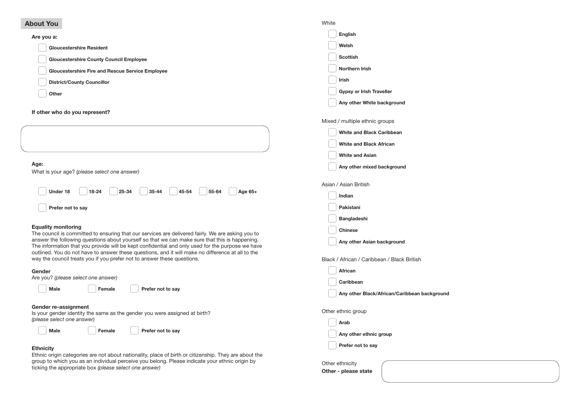## **About You**

## **Are you a:**

| Gloucestershire Resident                         |
|--------------------------------------------------|
| Gloucestershire County Council Employee          |
| Gloucestershire Fire and Rescue Service Employee |
| District/County Councillor                       |
| $\frac{1}{2}$ Other                              |

**If other who do you represent?**

|                                                                                                                                                                                                                                                                                                         | Mixed / multiple ethnic groups              |
|---------------------------------------------------------------------------------------------------------------------------------------------------------------------------------------------------------------------------------------------------------------------------------------------------------|---------------------------------------------|
|                                                                                                                                                                                                                                                                                                         | <b>White and Black Caribbean</b>            |
|                                                                                                                                                                                                                                                                                                         | <b>White and Black African</b>              |
|                                                                                                                                                                                                                                                                                                         | <b>White and Asian</b>                      |
| Age:<br>What is your age? (please select one answer)                                                                                                                                                                                                                                                    | Any other mixed background                  |
|                                                                                                                                                                                                                                                                                                         | Asian / Asian British                       |
| <b>Under 18</b>                                                                                                                                                                                                                                                                                         | Indian                                      |
| Prefer not to say                                                                                                                                                                                                                                                                                       | Pakistani                                   |
|                                                                                                                                                                                                                                                                                                         | <b>Bangladeshi</b>                          |
| <b>Equality monitoring</b><br>The council is committed to ensuring that our services are delivered fairly. We are asking you to                                                                                                                                                                         | <b>Chinese</b>                              |
| answer the following questions about yourself so that we can make sure that this is happening.<br>The information that you provide will be kept confidential and only used for the purpose we have<br>outlined. You do not have to answer these questions, and it will make no difference at all to the | Any other Asian background                  |
| way the council treats you if you prefer not to answer these questions.                                                                                                                                                                                                                                 | Black / African / Caribbean / Black British |
| Gender                                                                                                                                                                                                                                                                                                  | <b>African</b>                              |
| Are you? (please select one answer)                                                                                                                                                                                                                                                                     | Caribbean                                   |
| $\left  \right $ Female<br><b>Example 1 Prefer not to say</b><br><b>Male</b>                                                                                                                                                                                                                            | Any other Black/African/Caribbean backg     |
| <b>Gender re-assignment</b><br>Is your gender identity the same as the gender you were assigned at birth?                                                                                                                                                                                               | Other ethnic group                          |
| (please select one answer)                                                                                                                                                                                                                                                                              | $\frac{1}{2}$ Arab                          |
| Female Prefer not to say<br><b>Male</b>                                                                                                                                                                                                                                                                 | Any other ethnic group                      |
| <b>Ethnicity</b>                                                                                                                                                                                                                                                                                        | Prefer not to say                           |
| Ethnic origin categories are not about nationality, place of birth or citizenship. They are about the                                                                                                                                                                                                   |                                             |
| group to which you as an individual perceive you belong. Please indicate your ethnic origin by                                                                                                                                                                                                          | Other ethnicity                             |

group to which you as an individual perceive you belong. Please indicate your ethnic origin by ticking the appropriate box *(please select one answer)*

**A**<br>around

White

**English** 

**Welsh**

**Scottish** 

**Northern Irish**

**Irish**

**Gypsy or Irish Traveller**

**Any other White background** 

**Other - please state**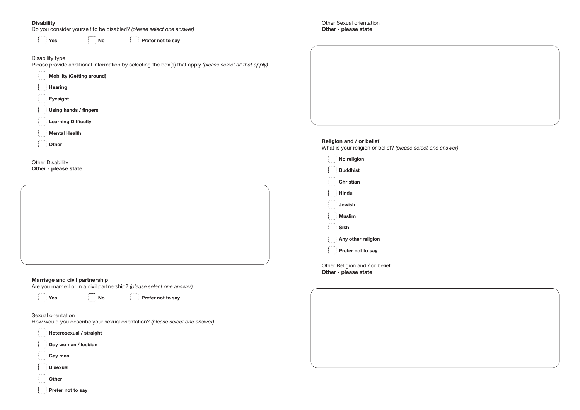#### **Disability**

Do you consider yourself to be disabled? *(please select one answer)*

**Prefer not to say** 

## Disability type

Please provide additional information by selecting the box(s) that apply *(please select all that apply)*